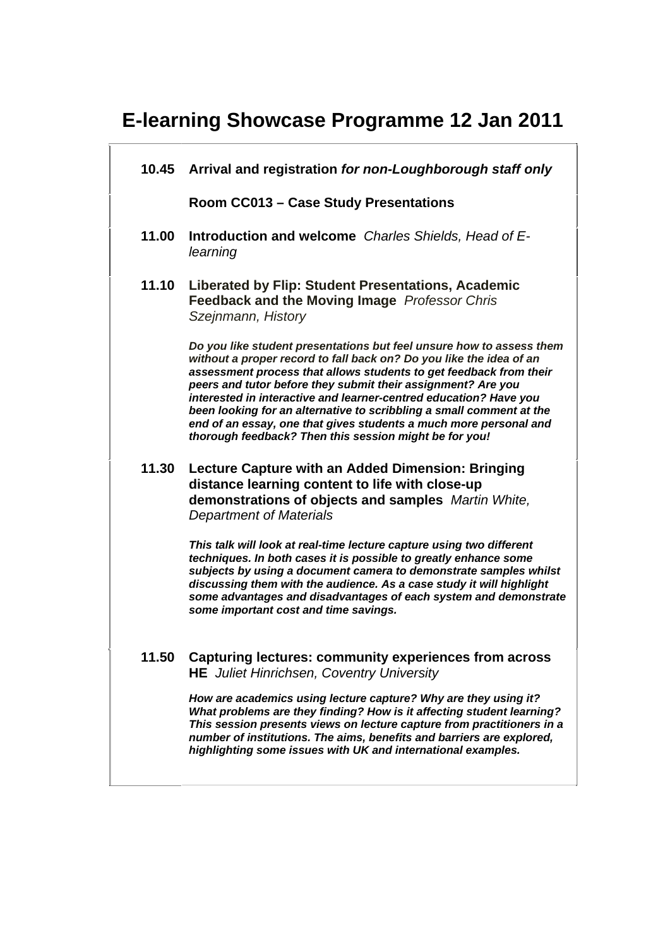# **E-learning Showcase Programme 12 Jan 2011**

**10.45 Arrival and registration** *for non-Loughborough staff only* 

**Room CC013 – Case Study Presentations** 

- **11.00 Introduction and welcome** *Charles Shields, Head of Elearning*
- **11.10 Liberated by Flip: Student Presentations, Academic Feedback and the Moving Image** *Professor Chris Szejnmann, History*

*Do you like student presentations but feel unsure how to assess them without a proper record to fall back on? Do you like the idea of an assessment process that allows students to get feedback from their peers and tutor before they submit their assignment? Are you interested in interactive and learner-centred education? Have you been looking for an alternative to scribbling a small comment at the end of an essay, one that gives students a much more personal and thorough feedback? Then this session might be for you!*

**11.30 Lecture Capture with an Added Dimension: Bringing distance learning content to life with close-up demonstrations of objects and samples** *Martin White, Department of Materials* 

> *This talk will look at real-time lecture capture using two different techniques. In both cases it is possible to greatly enhance some subjects by using a document camera to demonstrate samples whilst discussing them with the audience. As a case study it will highlight some advantages and disadvantages of each system and demonstrate some important cost and time savings.*

**11.50 Capturing lectures: community experiences from across HE** *Juliet Hinrichsen, Coventry University* 

> *How are academics using lecture capture? Why are they using it? What problems are they finding? How is it affecting student learning? This session presents views on lecture capture from practitioners in a number of institutions. The aims, benefits and barriers are explored, highlighting some issues with UK and international examples.*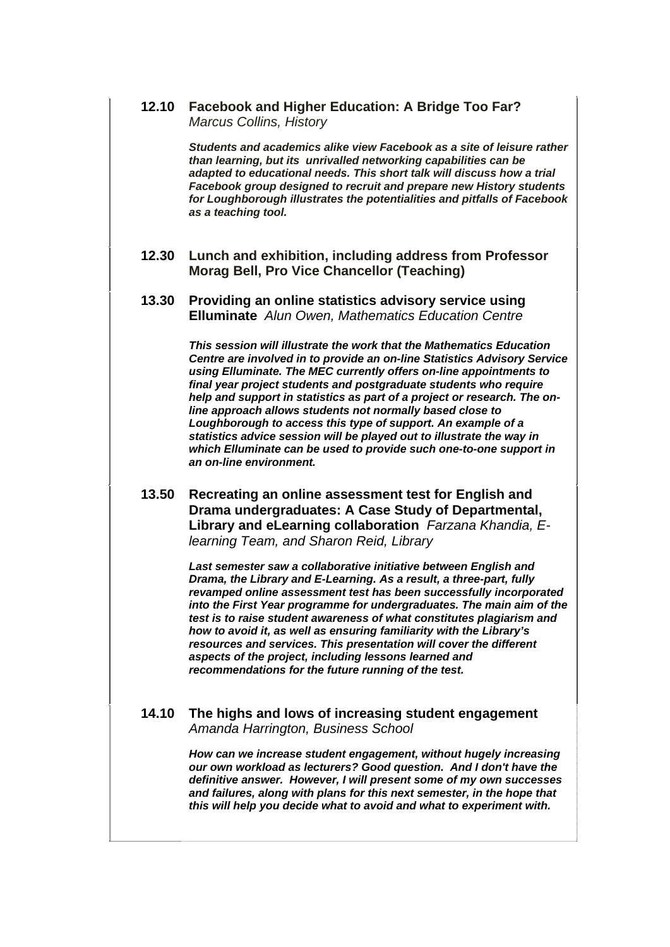#### **12.10 Facebook and Higher Education: A Bridge Too Far?** *Marcus Collins, History*

*Students and academics alike view Facebook as a site of leisure rather than learning, but its unrivalled networking capabilities can be adapted to educational needs. This short talk will discuss how a trial Facebook group designed to recruit and prepare new History students for Loughborough illustrates the potentialities and pitfalls of Facebook as a teaching tool.* 

### **12.30 Lunch and exhibition, including address from Professor Morag Bell, Pro Vice Chancellor (Teaching)**

#### **13.30 Providing an online statistics advisory service using Elluminate** *Alun Owen, Mathematics Education Centre*

*This session will illustrate the work that the Mathematics Education Centre are involved in to provide an on-line Statistics Advisory Service using Elluminate. The MEC currently offers on-line appointments to final year project students and postgraduate students who require help and support in statistics as part of a project or research. The online approach allows students not normally based close to Loughborough to access this type of support. An example of a statistics advice session will be played out to illustrate the way in which Elluminate can be used to provide such one-to-one support in an on-line environment.*

## **13.50 Recreating an online assessment test for English and Drama undergraduates: A Case Study of Departmental, Library and eLearning collaboration** *Farzana Khandia, Elearning Team, and Sharon Reid, Library*

*Last semester saw a collaborative initiative between English and Drama, the Library and E-Learning. As a result, a three-part, fully revamped online assessment test has been successfully incorporated into the First Year programme for undergraduates. The main aim of the test is to raise student awareness of what constitutes plagiarism and how to avoid it, as well as ensuring familiarity with the Library's resources and services. This presentation will cover the different aspects of the project, including lessons learned and recommendations for the future running of the test.* 

## **14.10 The highs and lows of increasing student engagement**  *Amanda Harrington, Business School*

*How can we increase student engagement, without hugely increasing our own workload as lecturers? Good question. And I don't have the definitive answer. However, I will present some of my own successes and failures, along with plans for this next semester, in the hope that this will help you decide what to avoid and what to experiment with.*